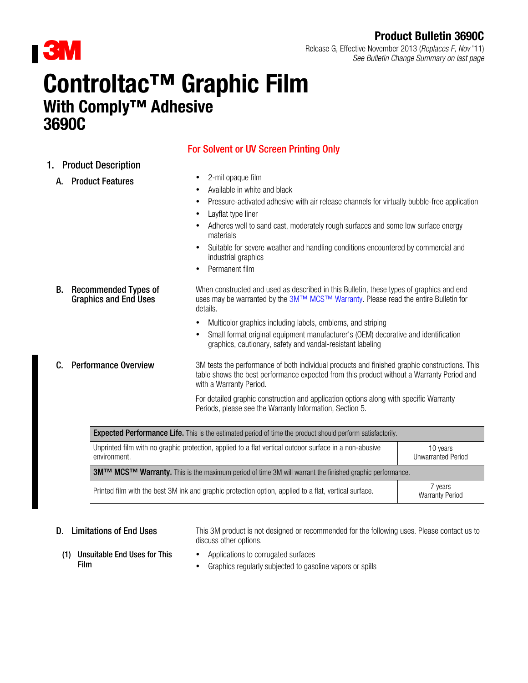

## Product Bulletin 3690C

Release G, Effective November 2013 (Replaces F, Nov '11) See Bulletin Change Summary on last page

# Controltac™ Graphic Film With Comply<sup>™</sup> Adhesive 3690C

## For Solvent or UV Screen Printing Only

- 1. Product Description
	- A. Product Features **1998 12-mil opaque film**
- - Available in white and black
	- Pressure-activated adhesive with air release channels for virtually bubble-free application
	- Layflat type liner
	- Adheres well to sand cast, moderately rough surfaces and some low surface energy materials
	- Suitable for severe weather and handling conditions encountered by commercial and industrial graphics
	- Permanent film
	- B. Recommended Types of Graphics and End Uses When constructed and used as described in this Bulletin, these types of graphics and end uses may be warranted by the [3M™ MCS™ Warranty](http://multimedia.3m.com/mws/mediawebserver?mwsId=66666UuZjcFSLXTtmxfaLxMaEVuQEcuZgVs6EVs6E666666--&fn=GMC%20Warranty.pdf). Please read the entire Bulletin for details.
		- Multicolor graphics including labels, emblems, and striping
		- Small format original equipment manufacturer's (OEM) decorative and identification graphics, cautionary, safety and vandal-resistant labeling
	- C. Performance Overview 3M tests the performance of both individual products and finished graphic constructions. This table shows the best performance expected from this product without a Warranty Period and with a Warranty Period.

For detailed graphic construction and application options along with specific Warranty Periods, please see the Warranty Information, Section [5.](#page-2-0)

| <b>Expected Performance Life.</b> This is the estimated period of time the product should perform satisfactorily.                                               |                                   |  |  |
|-----------------------------------------------------------------------------------------------------------------------------------------------------------------|-----------------------------------|--|--|
| Unprinted film with no graphic protection, applied to a flat vertical outdoor surface in a non-abusive<br>10 years<br><b>Unwarranted Period</b><br>environment. |                                   |  |  |
| <b>3MTM MCSTM Warranty.</b> This is the maximum period of time 3M will warrant the finished graphic performance.                                                |                                   |  |  |
| Printed film with the best 3M ink and graphic protection option, applied to a flat, vertical surface.                                                           | 7 years<br><b>Warranty Period</b> |  |  |

**D.** Limitations of End Uses This 3M product is not designed or recommended for the following uses. Please contact us to discuss other options.

- (1) Unsuitable End Uses for This Film
- Applications to corrugated surfaces
- Graphics regularly subjected to gasoline vapors or spills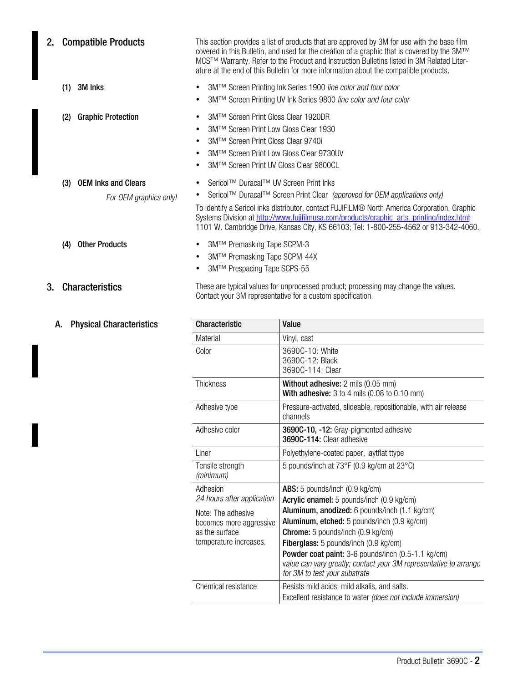| 2. | <b>Compatible Products</b>                                  | This section provides a list of products that are approved by 3M for use with the base film<br>covered in this Bulletin, and used for the creation of a graphic that is covered by the 3M™<br>MCS™ Warranty. Refer to the Product and Instruction Bulletins listed in 3M Related Liter-<br>ature at the end of this Bulletin for more information about the compatible products.                                   |                                                                                                                                                   |  |
|----|-------------------------------------------------------------|--------------------------------------------------------------------------------------------------------------------------------------------------------------------------------------------------------------------------------------------------------------------------------------------------------------------------------------------------------------------------------------------------------------------|---------------------------------------------------------------------------------------------------------------------------------------------------|--|
|    | 3M Inks<br>(1)                                              | $\bullet$<br>$\bullet$                                                                                                                                                                                                                                                                                                                                                                                             | 3M™ Screen Printing Ink Series 1900 line color and four color<br>3M™ Screen Printing UV Ink Series 9800 line color and four color                 |  |
|    | <b>Graphic Protection</b><br>(2)                            | 3M™ Screen Print Gloss Clear 1920DR<br>٠<br>3M™ Screen Print Low Gloss Clear 1930<br>$\bullet$<br>3M™ Screen Print Gloss Clear 9740i<br>$\bullet$<br>3M™ Screen Print Low Gloss Clear 9730UV<br>$\bullet$<br>3M™ Screen Print UV Gloss Clear 9800CL<br>$\bullet$                                                                                                                                                   |                                                                                                                                                   |  |
|    | <b>OEM Inks and Clears</b><br>(3)<br>For OEM graphics only! | Sericol™ Duracal™ UV Screen Print Inks<br>٠<br>Sericol™ Duracal™ Screen Print Clear (approved for OEM applications only)<br>٠<br>To identify a Sericol inks distributor, contact FUJIFILM® North America Corporation, Graphic<br>Systems Division at http://www.fujifilmusa.com/products/graphic arts printing/index.html;<br>1101 W. Cambridge Drive, Kansas City, KS 66103; Tel: 1-800-255-4562 or 913-342-4060. |                                                                                                                                                   |  |
|    | <b>Other Products</b><br>(4)                                | 3M™ Premasking Tape SCPM-3<br>$\bullet$<br>3M™ Premasking Tape SCPM-44X<br>٠<br>3M™ Prespacing Tape SCPS-55<br>٠                                                                                                                                                                                                                                                                                                   |                                                                                                                                                   |  |
| 3. | <b>Characteristics</b>                                      |                                                                                                                                                                                                                                                                                                                                                                                                                    | These are typical values for unprocessed product; processing may change the values.<br>Contact your 3M representative for a custom specification. |  |
|    | <b>Physical Characteristics</b><br>A.                       | Characteristic                                                                                                                                                                                                                                                                                                                                                                                                     | Value                                                                                                                                             |  |
|    |                                                             | Material                                                                                                                                                                                                                                                                                                                                                                                                           | Vinyl, cast                                                                                                                                       |  |
|    |                                                             | Color                                                                                                                                                                                                                                                                                                                                                                                                              | 3690C-10: White<br>3690C-12: Black<br>3690C-114: Clear                                                                                            |  |

| Material                                                                                  | Vinyl, cast                                                                                                                                                                                                                                                                                                                                   |
|-------------------------------------------------------------------------------------------|-----------------------------------------------------------------------------------------------------------------------------------------------------------------------------------------------------------------------------------------------------------------------------------------------------------------------------------------------|
| Color                                                                                     | 3690C-10: White<br>3690C-12: Black<br>3690C-114: Clear                                                                                                                                                                                                                                                                                        |
| <b>Thickness</b>                                                                          | <b>Without adhesive:</b> 2 mils (0.05 mm)<br>With adhesive: $3$ to $4$ mils (0.08 to 0.10 mm)                                                                                                                                                                                                                                                 |
| Adhesive type                                                                             | Pressure-activated, slideable, repositionable, with air release<br>channels                                                                                                                                                                                                                                                                   |
| Adhesive color                                                                            | 3690C-10, -12: Gray-pigmented adhesive<br>3690C-114: Clear adhesive                                                                                                                                                                                                                                                                           |
| Liner                                                                                     | Polyethylene-coated paper, laytflat ttype                                                                                                                                                                                                                                                                                                     |
| Tensile strength<br>(minimum)                                                             | 5 pounds/inch at 73°F (0.9 kg/cm at 23°C)                                                                                                                                                                                                                                                                                                     |
| Adhesion<br>24 hours after application                                                    | ABS: 5 pounds/inch (0.9 kg/cm)<br>Acrylic enamel: 5 pounds/inch (0.9 kg/cm)                                                                                                                                                                                                                                                                   |
| Note: The adhesive<br>becomes more aggressive<br>as the surface<br>temperature increases. | Aluminum, anodized: 6 pounds/inch (1.1 kg/cm)<br>Aluminum, etched: 5 pounds/inch (0.9 kg/cm)<br><b>Chrome:</b> 5 pounds/inch (0.9 kg/cm)<br>Fiberglass: 5 pounds/inch (0.9 kg/cm)<br>Powder coat paint: 3-6 pounds/inch (0.5-1.1 kg/cm)<br>value can vary greatly; contact your 3M representative to arrange<br>for 3M to test your substrate |
| Chemical resistance                                                                       | Resists mild acids, mild alkalis, and salts.<br>Excellent resistance to water (does not include immersion)                                                                                                                                                                                                                                    |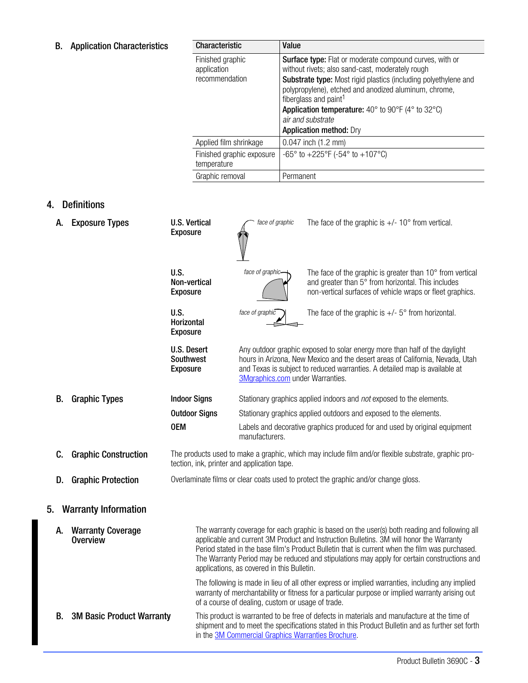## <span id="page-2-0"></span>B. Application Characteristics

| <b>Characteristic</b>                             | Value                                                                                                                                                                                                                                                                                                                                                                                                                                                   |
|---------------------------------------------------|---------------------------------------------------------------------------------------------------------------------------------------------------------------------------------------------------------------------------------------------------------------------------------------------------------------------------------------------------------------------------------------------------------------------------------------------------------|
| Finished graphic<br>application<br>recommendation | <b>Surface type:</b> Flat or moderate compound curves, with or<br>without rivets; also sand-cast, moderately rough<br><b>Substrate type:</b> Most rigid plastics (including polyethylene and<br>polypropylene), etched and anodized aluminum, chrome,<br>fiberglass and paint <sup>1</sup><br><b>Application temperature:</b> 40 $^{\circ}$ to 90 $^{\circ}$ F (4 $^{\circ}$ to 32 $^{\circ}$ C)<br>air and substrate<br><b>Application method: Dry</b> |
| Applied film shrinkage                            | $0.047$ inch $(1.2$ mm)                                                                                                                                                                                                                                                                                                                                                                                                                                 |
| Finished graphic exposure<br>temperature          | $-65^{\circ}$ to $+225^{\circ}$ F ( $-54^{\circ}$ to $+107^{\circ}$ C)                                                                                                                                                                                                                                                                                                                                                                                  |
| Graphic removal                                   | Permanent                                                                                                                                                                                                                                                                                                                                                                                                                                               |

### 4. Definitions

| A. | <b>Exposure Types</b>                       | <b>U.S. Vertical</b><br><b>Exposure</b>            | face of graphic                                                                    | The face of the graphic is $+/- 10^{\circ}$ from vertical.                                                                                                                                                                                                                                                                                                                                |  |
|----|---------------------------------------------|----------------------------------------------------|------------------------------------------------------------------------------------|-------------------------------------------------------------------------------------------------------------------------------------------------------------------------------------------------------------------------------------------------------------------------------------------------------------------------------------------------------------------------------------------|--|
|    |                                             | U.S.<br>Non-vertical<br><b>Exposure</b>            | face of graphic-                                                                   | The face of the graphic is greater than 10° from vertical<br>and greater than 5° from horizontal. This includes<br>non-vertical surfaces of vehicle wraps or fleet graphics.                                                                                                                                                                                                              |  |
|    |                                             | U.S.<br>Horizontal<br><b>Exposure</b>              | face of graphic                                                                    | The face of the graphic is $+/-$ 5° from horizontal.                                                                                                                                                                                                                                                                                                                                      |  |
|    |                                             | <b>U.S. Desert</b><br>Southwest<br><b>Exposure</b> | 3Mgraphics.com under Warranties.                                                   | Any outdoor graphic exposed to solar energy more than half of the daylight<br>hours in Arizona, New Mexico and the desert areas of California, Nevada, Utah<br>and Texas is subject to reduced warranties. A detailed map is available at                                                                                                                                                 |  |
| В. | <b>Graphic Types</b>                        | <b>Indoor Signs</b>                                |                                                                                    | Stationary graphics applied indoors and not exposed to the elements.                                                                                                                                                                                                                                                                                                                      |  |
|    |                                             | <b>Outdoor Signs</b>                               |                                                                                    | Stationary graphics applied outdoors and exposed to the elements.                                                                                                                                                                                                                                                                                                                         |  |
|    |                                             | <b>OEM</b>                                         | manufacturers.                                                                     | Labels and decorative graphics produced for and used by original equipment                                                                                                                                                                                                                                                                                                                |  |
| C. | <b>Graphic Construction</b>                 |                                                    | tection, ink, printer and application tape.                                        | The products used to make a graphic, which may include film and/or flexible substrate, graphic pro-                                                                                                                                                                                                                                                                                       |  |
| D. | <b>Graphic Protection</b>                   |                                                    | Overlaminate films or clear coats used to protect the graphic and/or change gloss. |                                                                                                                                                                                                                                                                                                                                                                                           |  |
| 5. | <b>Warranty Information</b>                 |                                                    |                                                                                    |                                                                                                                                                                                                                                                                                                                                                                                           |  |
| А. | <b>Warranty Coverage</b><br><b>Overview</b> |                                                    | applications, as covered in this Bulletin.                                         | The warranty coverage for each graphic is based on the user(s) both reading and following all<br>applicable and current 3M Product and Instruction Bulletins. 3M will honor the Warranty<br>Period stated in the base film's Product Bulletin that is current when the film was purchased.<br>The Warranty Period may be reduced and stipulations may apply for certain constructions and |  |
|    |                                             |                                                    | of a course of dealing, custom or usage of trade.                                  | The following is made in lieu of all other express or implied warranties, including any implied<br>warranty of merchantability or fitness for a particular purpose or implied warranty arising out                                                                                                                                                                                        |  |
| В. | <b>3M Basic Product Warranty</b>            |                                                    | in the 3M Commercial Graphics Warranties Brochure.                                 | This product is warranted to be free of defects in materials and manufacture at the time of<br>shipment and to meet the specifications stated in this Product Bulletin and as further set forth                                                                                                                                                                                           |  |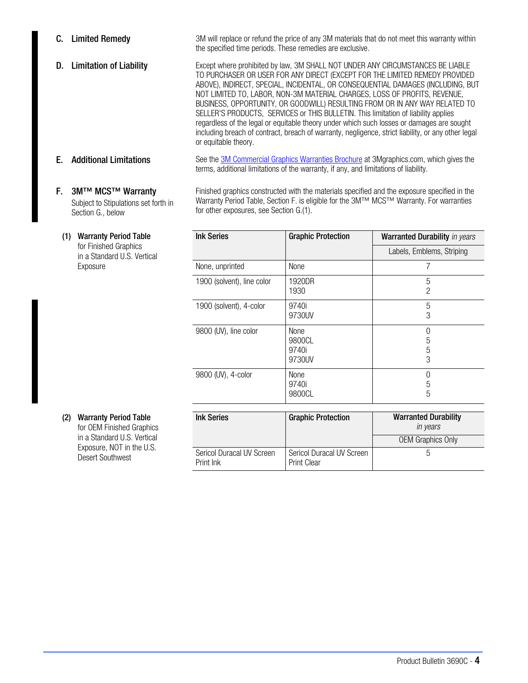<span id="page-3-0"></span>**C.** Limited Remedy 3M will replace or refund the price of any 3M materials that do not meet this warranty within the specified time periods. These remedies are exclusive.

D. Limitation of Liability Except where prohibited by law, 3M SHALL NOT UNDER ANY CIRCUMSTANCES BE LIABLE TO PURCHASER OR USER FOR ANY DIRECT (EXCEPT FOR THE LIMITED REMEDY PROVIDED ABOVE), INDIRECT, SPECIAL, INCIDENTAL, OR CONSEQUENTIAL DAMAGES (INCLUDING, BUT NOT LIMITED TO, LABOR, NON-3M MATERIAL CHARGES, LOSS OF PROFITS, REVENUE, BUSINESS, OPPORTUNITY, OR GOODWILL) RESULTING FROM OR IN ANY WAY RELATED TO SELLER'S PRODUCTS, SERVICES or THIS BULLETIN. This limitation of liability applies regardless of the legal or equitable theory under which such losses or damages are sought including breach of contract, breach of warranty, negligence, strict liability, or any other legal or equitable theory.

#### F. 3M™ MCS™ Warranty Subject to Stipulations set forth in Section [G.](#page-4-0), below

#### (1) Warranty Period Table

for Finished Graphics in a Standard U.S. Vertical Exposure

**E.** Additional Limitations See the [3M Commercial Graphics Warranties Brochure](http://multimedia.3m.com/mws/mediawebserver?mwsId=SSSSSu7zK1fslxtUN8_UM8mZev7qe17zHvTSevTSeSSSSSS--&fn=WarrantyBrochure_06.pdf) at 3Mgraphics.com, which gives the terms, additional limitations of the warranty, if any, and limitations of liability.

> Finished graphics constructed with the materials specified and the exposure specified in the Warranty Period Table, Section F. is eligible for the 3M™ MCS™ Warranty. For warranties for other exposures, see Section [G.\(1\).](#page-4-0)

| <b>Ink Series</b>          | <b>Graphic Protection</b>         | <b>Warranted Durability</b> in years |  |
|----------------------------|-----------------------------------|--------------------------------------|--|
|                            |                                   | Labels, Emblems, Striping            |  |
| None, unprinted            | None                              |                                      |  |
| 1900 (solvent), line color | 1920DR<br>1930                    | 5<br>$\overline{2}$                  |  |
| 1900 (solvent), 4-color    | 9740i<br>9730UV                   | 5<br>3                               |  |
| 9800 (UV), line color      | None<br>9800CL<br>9740i<br>9730UV | 5<br>5<br>3                          |  |
| 9800 (UV), 4-color         | <b>None</b><br>9740i<br>9800CL    | 0<br>5<br>5                          |  |

#### (2) Warranty Period Table for OEM Finished Graphics

in a Standard U.S. Vertical Exposure, NOT in the U.S. Desert Southwest

| <b>Ink Series</b>                      | <b>Graphic Protection</b>                       | <b>Warranted Durability</b><br>in years |
|----------------------------------------|-------------------------------------------------|-----------------------------------------|
|                                        |                                                 | <b>OEM Graphics Only</b>                |
| Sericol Duracal UV Screen<br>Print Ink | Sericol Duracal UV Screen<br><b>Print Clear</b> | :C                                      |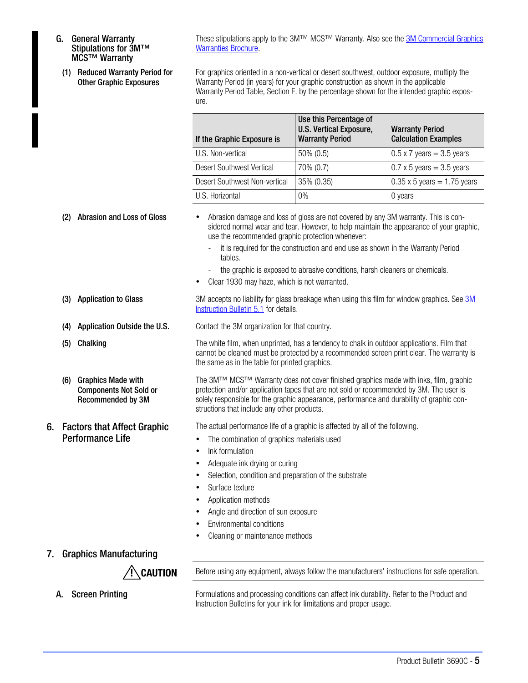- <span id="page-4-0"></span>G. General Warranty Stipulations for 3M™ MCS™ Warranty
	- (1) Reduced Warranty Period for Other Graphic Exposures

These stipulations apply to the 3M™ MCS™ Warranty. Also see the [3M Commercial Graphics](http://multimedia.3m.com/mws/mediawebserver?mwsId=SSSSSu7zK1fslxtUN8_UM8mZev7qe17zHvTSevTSeSSSSSS--&fn=WarrantyBrochure_06.pdf) [Warranties Brochure](http://multimedia.3m.com/mws/mediawebserver?mwsId=SSSSSu7zK1fslxtUN8_UM8mZev7qe17zHvTSevTSeSSSSSS--&fn=WarrantyBrochure_06.pdf).

For graphics oriented in a non-vertical or desert southwest, outdoor exposure, multiply the Warranty Period (in years) for your graphic construction as shown in the applicable Warranty Period Table, Section F, by the percentage shown for the intended graphic exposure.

| If the Graphic Exposure is    | Use this Percentage of<br><b>U.S. Vertical Exposure,</b><br><b>Warranty Period</b> | <b>Warranty Period</b><br><b>Calculation Examples</b> |
|-------------------------------|------------------------------------------------------------------------------------|-------------------------------------------------------|
| U.S. Non-vertical             | $50\% (0.5)$                                                                       | $0.5 \times 7$ years = 3.5 years                      |
| Desert Southwest Vertical     | 70% (0.7)                                                                          | $0.7 \times 5$ years = 3.5 years                      |
| Desert Southwest Non-vertical | 35% (0.35)                                                                         | $0.35 \times 5$ years = 1.75 years                    |
| U.S. Horizontal               | $0\%$                                                                              | 0 years                                               |

- (2) Abrasion and Loss of Gloss Abrasion damage and loss of gloss are not covered by any 3M warranty. This is considered normal wear and tear. However, to help maintain the appearance of your graphic, use the recommended graphic protection whenever:
	- it is required for the construction and end use as shown in the Warranty Period tables.
	- the graphic is exposed to abrasive conditions, harsh cleaners or chemicals.
	- Clear 1930 may haze, which is not warranted.
- (3) Application to Glass [3M](http://multimedia.mmm.com/mws/mediawebserver.dyn?6666660Zjcf6lVs6EVs666TtMCOrrrrQ-) accepts no liability for glass breakage when using this film for window graphics. See 3M [Instruction Bulletin 5.1](http://multimedia.mmm.com/mws/mediawebserver.dyn?6666660Zjcf6lVs6EVs666TtMCOrrrrQ-) for details.

(4) Application Outside the U.S. Contact the 3M organization for that country.

(5) Chalking The white film, when unprinted, has a tendency to chalk in outdoor applications. Film that cannot be cleaned must be protected by a recommended screen print clear. The warranty is the same as in the table for printed graphics.

> The 3M™ MCS™ Warranty does not cover finished graphics made with inks, film, graphic protection and/or application tapes that are not sold or recommended by 3M. The user is solely responsible for the graphic appearance, performance and durability of graphic constructions that include any other products.

The actual performance life of a graphic is affected by all of the following.

- The combination of graphics materials used
- Ink formulation
- Adequate ink drying or curing
- Selection, condition and preparation of the substrate
- Surface texture
- Application methods
- Angle and direction of sun exposure
- Environmental conditions
- Cleaning or maintenance methods

#### 7. Graphics Manufacturing

(6) Graphics Made with

6. Factors that Affect Graphic Performance Life

Components Not Sold or Recommended by 3M

 $\sqrt{!}$  CAUTION Before using any equipment, always follow the manufacturers' instructions for safe operation.

A. Screen Printing Formulations and processing conditions can affect ink durability. Refer to the Product and Instruction Bulletins for your ink for limitations and proper usage.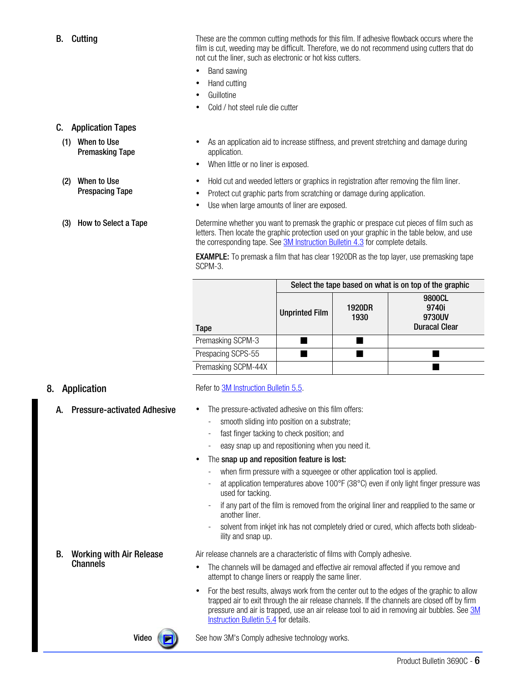**Video**  $\left(\rightarrow\right)$  See how 3M's Comply adhesive technology works.

#### B. Working with Air Release **Channels**

The snap up and reposition feature is lost:

- when firm pressure with a squeegee or other application tool is applied.
- at application temperatures above  $100^{\circ}$ F (38 $^{\circ}$ C) even if only light finger pressure was used for tacking.
- if any part of the film is removed from the original liner and reapplied to the same or another liner.
- solvent from inkjet ink has not completely dried or cured, which affects both slideability and snap up.

Air release channels are a characteristic of films with Comply adhesive.

- The channels will be damaged and effective air removal affected if you remove and attempt to change liners or reapply the same liner.
- For the best results, always work from the center out to the edges of the graphic to allow trapped air to exit through the air release channels. If the channels are closed off by firm pressure and air is trapped, use an air release tool to aid in removing air bubbles. See [3M](http://multimedia.mmm.com/mws/mediawebserver.dyn?6666660Zjcf6lVs6EVs666TtNCOrrrrQ-) [Instruction Bulletin 5.4](http://multimedia.mmm.com/mws/mediawebserver.dyn?6666660Zjcf6lVs6EVs666TtNCOrrrrQ-) for details.

smooth sliding into position on a substrate; fast finger tacking to check position; and

easy snap up and repositioning when you need it.

# SCPM-3.

A. Pressure-activated Adhesive • The pressure-activated adhesive on this film offers:

8. Application Refer to [3M Instruction Bulletin 5.5](http://multimedia.mmm.com/mws/mediawebserver.dyn?6666660Zjcf6lVs6EVs666s0_COrrrrQ-).

|                     | Select the tape based on what is on top of the graphic |                       |                                                   |  |  |
|---------------------|--------------------------------------------------------|-----------------------|---------------------------------------------------|--|--|
| Tape                | <b>Unprinted Film</b>                                  | <b>1920DR</b><br>1930 | 9800CL<br>9740i<br>9730UV<br><b>Duracal Clear</b> |  |  |
| Premasking SCPM-3   |                                                        |                       |                                                   |  |  |
| Prespacing SCPS-55  |                                                        |                       |                                                   |  |  |
| Premasking SCPM-44X |                                                        |                       |                                                   |  |  |

**EXAMPLE:** To premask a film that has clear 1920DR as the top layer, use premasking tape

letters. Then locate the graphic protection used on your graphic in the table below, and use

## C. Application Tapes

- (1) When to Use Premasking Tape
- (2) When to Use Prespacing Tape

#### (3) How to Select a Tape Determine whether you want to premask the graphic or prespace cut pieces of film such as

 As an application aid to increase stiffness, and prevent stretching and damage during application.

- When little or no liner is exposed.
- Hold cut and weeded letters or graphics in registration after removing the film liner.
- Protect cut graphic parts from scratching or damage during application.

the corresponding tape. See [3M Instruction Bulletin 4.3](http://multimedia.mmm.com/mws/mediawebserver.dyn?6666660Zjcf6lVs6EVs666Tt3COrrrrQ-) for complete details.

Use when large amounts of liner are exposed.

**B.** Cutting **These are the common cutting methods for this film. If adhesive flowback occurs where the** film is cut, weeding may be difficult. Therefore, we do not recommend using cutters that do not cut the liner, such as electronic or hot kiss cutters.

- Band sawing
- Hand cutting
- **Guillotine**
- Cold / hot steel rule die cutter

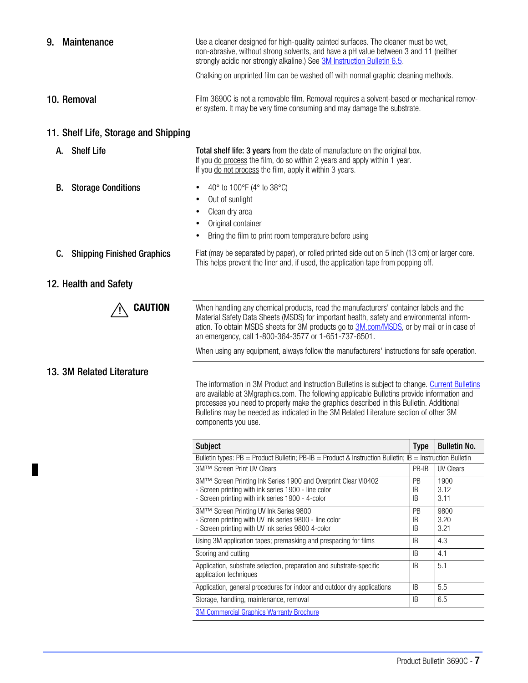| Maintenance<br>9.                       | Use a cleaner designed for high-quality painted surfaces. The cleaner must be wet,<br>non-abrasive, without strong solvents, and have a pH value between 3 and 11 (neither<br>strongly acidic nor strongly alkaline.) See 3M Instruction Bulletin 6.5.                                                                                                                                                    |  |
|-----------------------------------------|-----------------------------------------------------------------------------------------------------------------------------------------------------------------------------------------------------------------------------------------------------------------------------------------------------------------------------------------------------------------------------------------------------------|--|
|                                         | Chalking on unprinted film can be washed off with normal graphic cleaning methods.                                                                                                                                                                                                                                                                                                                        |  |
| 10. Removal                             | Film 3690C is not a removable film. Removal requires a solvent-based or mechanical remov-<br>er system. It may be very time consuming and may damage the substrate.                                                                                                                                                                                                                                       |  |
| 11. Shelf Life, Storage and Shipping    |                                                                                                                                                                                                                                                                                                                                                                                                           |  |
| <b>Shelf Life</b><br>А.                 | Total shelf life: 3 years from the date of manufacture on the original box.<br>If you do process the film, do so within 2 years and apply within 1 year.<br>If you do not process the film, apply it within 3 years.                                                                                                                                                                                      |  |
| В.<br><b>Storage Conditions</b>         | 40° to 100°F (4° to 38°C)<br>Out of sunlight<br>Clean dry area<br>Original container<br>٠<br>Bring the film to print room temperature before using<br>٠                                                                                                                                                                                                                                                   |  |
| C.<br><b>Shipping Finished Graphics</b> | Flat (may be separated by paper), or rolled printed side out on 5 inch (13 cm) or larger core.<br>This helps prevent the liner and, if used, the application tape from popping off.                                                                                                                                                                                                                       |  |
| 12. Health and Safety                   |                                                                                                                                                                                                                                                                                                                                                                                                           |  |
| <b>CAUTION</b>                          | When handling any chemical products, read the manufacturers' container labels and the<br>Material Safety Data Sheets (MSDS) for important health, safety and environmental inform-<br>ation. To obtain MSDS sheets for 3M products go to 3M.com/MSDS, or by mail or in case of<br>an emergency, call 1-800-364-3577 or 1-651-737-6501.                                                                    |  |
|                                         | When using any equipment, always follow the manufacturers' instructions for safe operation.                                                                                                                                                                                                                                                                                                               |  |
| 13. 3M Related Literature               | The information in 3M Product and Instruction Bulletins is subject to change. Current Bulletins<br>are available at 3Mgraphics.com. The following applicable Bulletins provide information and<br>processes you need to properly make the graphics described in this Bulletin. Additional<br>Bulletins may be needed as indicated in the 3M Related Literature section of other 3M<br>components you use. |  |

| <b>Subject</b>                                                                                                                                                            | <b>Type</b>           | <b>Bulletin No.</b>  |  |  |
|---------------------------------------------------------------------------------------------------------------------------------------------------------------------------|-----------------------|----------------------|--|--|
| Bulletin types: $PB =$ Product Bulletin; PB-IB = Product & Instruction Bulletin; IB = Instruction Bulletin                                                                |                       |                      |  |  |
| 3M™ Screen Print UV Clears                                                                                                                                                | PB-IB                 | <b>UV Clears</b>     |  |  |
| 3M™ Screen Printing Ink Series 1900 and Overprint Clear VI0402<br>- Screen printing with ink series 1900 - line color<br>- Screen printing with ink series 1900 - 4-color | <b>PB</b><br>IB<br>IB | 1900<br>3.12<br>3.11 |  |  |
| 3M™ Screen Printing UV Ink Series 9800<br>- Screen printing with UV ink series 9800 - line color<br>- Screen printing with UV ink series 9800 4-color                     | <b>PB</b><br>ΙB<br>IB | 9800<br>3.20<br>3.21 |  |  |
| Using 3M application tapes; premasking and prespacing for films                                                                                                           | IB                    | 4.3                  |  |  |
| Scoring and cutting                                                                                                                                                       | IB.                   | 4.1                  |  |  |
| Application, substrate selection, preparation and substrate-specific<br>application techniques                                                                            | IB.                   | 5.1                  |  |  |
| Application, general procedures for indoor and outdoor dry applications                                                                                                   | IB.                   | 5.5                  |  |  |
| Storage, handling, maintenance, removal                                                                                                                                   | IB                    | 6.5                  |  |  |
| <b>3M Commercial Graphics Warranty Brochure</b>                                                                                                                           |                       |                      |  |  |